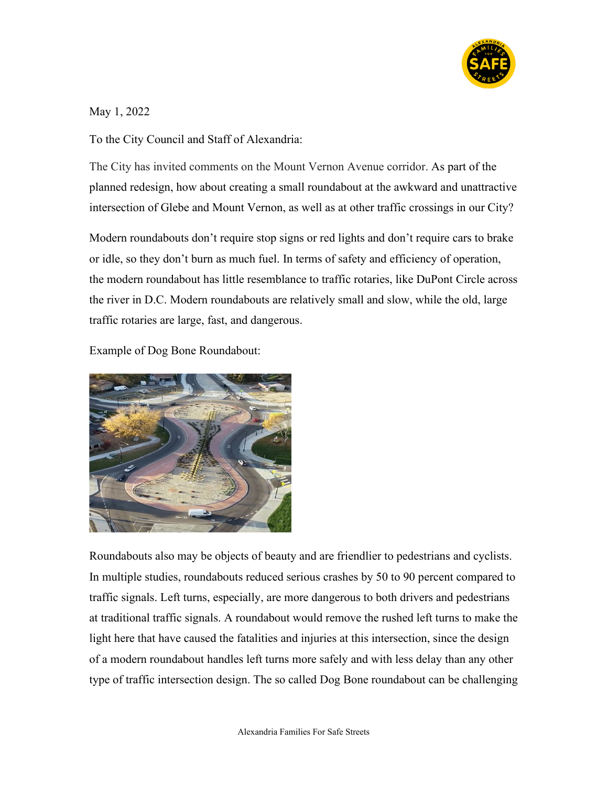

May 1, 2022

To the City Council and Staff of Alexandria:

The City has invited comments on the Mount Vernon Avenue corridor. As part of the planned redesign, how about creating a small roundabout at the awkward and unattractive intersection of Glebe and Mount Vernon, as well as at other traffic crossings in our City?

Modern roundabouts don't require stop signs or red lights and don't require cars to brake or idle, so they don't burn as much fuel. In terms of safety and efficiency of operation, the modern roundabout has little resemblance to traffic rotaries, like DuPont Circle across the river in D.C. Modern roundabouts are relatively small and slow, while the old, large traffic rotaries are large, fast, and dangerous.

Example of Dog Bone Roundabout:



Roundabouts also may be objects of beauty and are friendlier to pedestrians and cyclists. In multiple studies, roundabouts reduced serious crashes by 50 to 90 percent compared to traffic signals. Left turns, especially, are more dangerous to both drivers and pedestrians at traditional traffic signals. A roundabout would remove the rushed left turns to make the light here that have caused the fatalities and injuries at this intersection, since the design of a modern roundabout handles left turns more safely and with less delay than any other type of traffic intersection design. The so called Dog Bone roundabout can be challenging